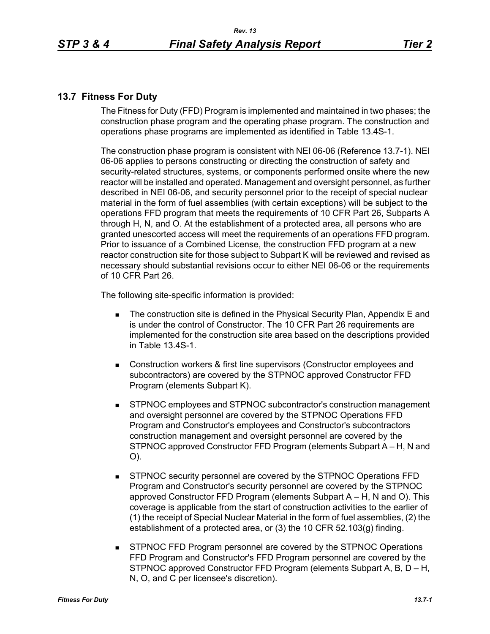## **13.7 Fitness For Duty**

The Fitness for Duty (FFD) Program is implemented and maintained in two phases; the construction phase program and the operating phase program. The construction and operations phase programs are implemented as identified in Table 13.4S-1.

The construction phase program is consistent with NEI 06-06 (Reference 13.7-1). NEI 06-06 applies to persons constructing or directing the construction of safety and security-related structures, systems, or components performed onsite where the new reactor will be installed and operated. Management and oversight personnel, as further described in NEI 06-06, and security personnel prior to the receipt of special nuclear material in the form of fuel assemblies (with certain exceptions) will be subject to the operations FFD program that meets the requirements of 10 CFR Part 26, Subparts A through H, N, and O. At the establishment of a protected area, all persons who are granted unescorted access will meet the requirements of an operations FFD program. Prior to issuance of a Combined License, the construction FFD program at a new reactor construction site for those subject to Subpart K will be reviewed and revised as necessary should substantial revisions occur to either NEI 06-06 or the requirements of 10 CFR Part 26.

The following site-specific information is provided:

- The construction site is defined in the Physical Security Plan, Appendix E and is under the control of Constructor. The 10 CFR Part 26 requirements are implemented for the construction site area based on the descriptions provided in Table 13.4S-1.
- Construction workers & first line supervisors (Constructor employees and subcontractors) are covered by the STPNOC approved Constructor FFD Program (elements Subpart K).
- STPNOC employees and STPNOC subcontractor's construction management and oversight personnel are covered by the STPNOC Operations FFD Program and Constructor's employees and Constructor's subcontractors construction management and oversight personnel are covered by the STPNOC approved Constructor FFD Program (elements Subpart A – H, N and O).
- STPNOC security personnel are covered by the STPNOC Operations FFD Program and Constructor's security personnel are covered by the STPNOC approved Constructor FFD Program (elements Subpart A – H, N and O). This coverage is applicable from the start of construction activities to the earlier of (1) the receipt of Special Nuclear Material in the form of fuel assemblies, (2) the establishment of a protected area, or (3) the 10 CFR 52.103(g) finding.
- STPNOC FFD Program personnel are covered by the STPNOC Operations FFD Program and Constructor's FFD Program personnel are covered by the STPNOC approved Constructor FFD Program (elements Subpart A, B, D – H, N, O, and C per licensee's discretion).